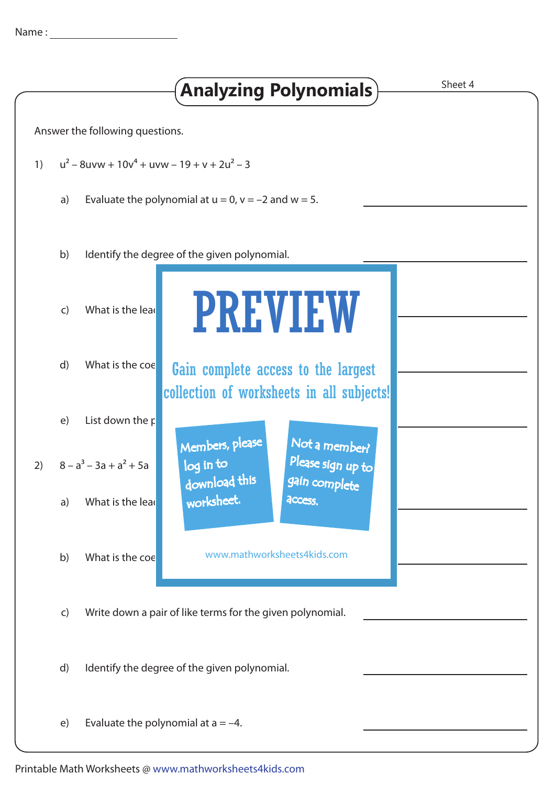